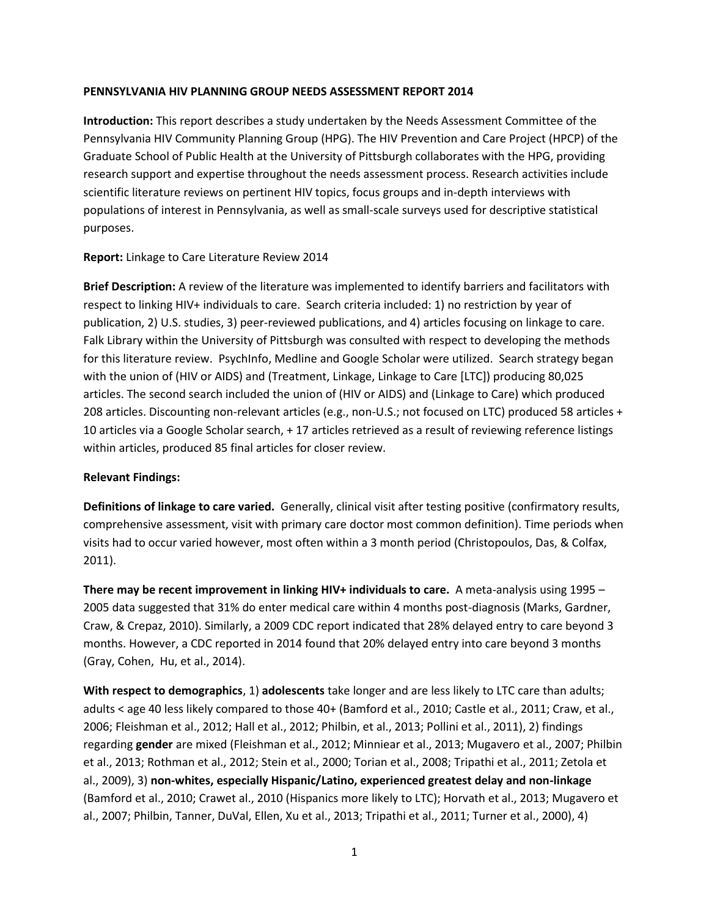#### **PENNSYLVANIA HIV PLANNING GROUP NEEDS ASSESSMENT REPORT 2014**

**Introduction:** This report describes a study undertaken by the Needs Assessment Committee of the Pennsylvania HIV Community Planning Group (HPG). The HIV Prevention and Care Project (HPCP) of the Graduate School of Public Health at the University of Pittsburgh collaborates with the HPG, providing research support and expertise throughout the needs assessment process. Research activities include scientific literature reviews on pertinent HIV topics, focus groups and in-depth interviews with populations of interest in Pennsylvania, as well as small-scale surveys used for descriptive statistical purposes.

#### **Report:** Linkage to Care Literature Review 2014

**Brief Description:** A review of the literature was implemented to identify barriers and facilitators with respect to linking HIV+ individuals to care. Search criteria included: 1) no restriction by year of publication, 2) U.S. studies, 3) peer-reviewed publications, and 4) articles focusing on linkage to care. Falk Library within the University of Pittsburgh was consulted with respect to developing the methods for this literature review. PsychInfo, Medline and Google Scholar were utilized. Search strategy began with the union of (HIV or AIDS) and (Treatment, Linkage, Linkage to Care [LTC]) producing 80,025 articles. The second search included the union of (HIV or AIDS) and (Linkage to Care) which produced 208 articles. Discounting non-relevant articles (e.g., non-U.S.; not focused on LTC) produced 58 articles + 10 articles via a Google Scholar search, + 17 articles retrieved as a result of reviewing reference listings within articles, produced 85 final articles for closer review.

## **Relevant Findings:**

**Definitions of linkage to care varied.** Generally, clinical visit after testing positive (confirmatory results, comprehensive assessment, visit with primary care doctor most common definition). Time periods when visits had to occur varied however, most often within a 3 month period (Christopoulos, Das, & Colfax, 2011).

**There may be recent improvement in linking HIV+ individuals to care.** A meta-analysis using 1995 – 2005 data suggested that 31% do enter medical care within 4 months post-diagnosis (Marks, Gardner, Craw, & Crepaz, 2010). Similarly, a 2009 CDC report indicated that 28% delayed entry to care beyond 3 months. However, a CDC reported in 2014 found that 20% delayed entry into care beyond 3 months (Gray, Cohen, Hu, et al., 2014).

**With respect to demographics**, 1) **adolescents** take longer and are less likely to LTC care than adults; adults < age 40 less likely compared to those 40+ (Bamford et al., 2010; Castle et al., 2011; Craw, et al., 2006; Fleishman et al., 2012; Hall et al., 2012; Philbin, et al., 2013; Pollini et al., 2011), 2) findings regarding **gender** are mixed (Fleishman et al., 2012; Minniear et al., 2013; Mugavero et al., 2007; Philbin et al., 2013; Rothman et al., 2012; Stein et al., 2000; Torian et al., 2008; Tripathi et al., 2011; Zetola et al., 2009), 3) **non-whites, especially Hispanic/Latino, experienced greatest delay and non-linkage** (Bamford et al., 2010; Crawet al., 2010 (Hispanics more likely to LTC); Horvath et al., 2013; Mugavero et al., 2007; Philbin, Tanner, DuVal, Ellen, Xu et al., 2013; Tripathi et al., 2011; Turner et al., 2000), 4)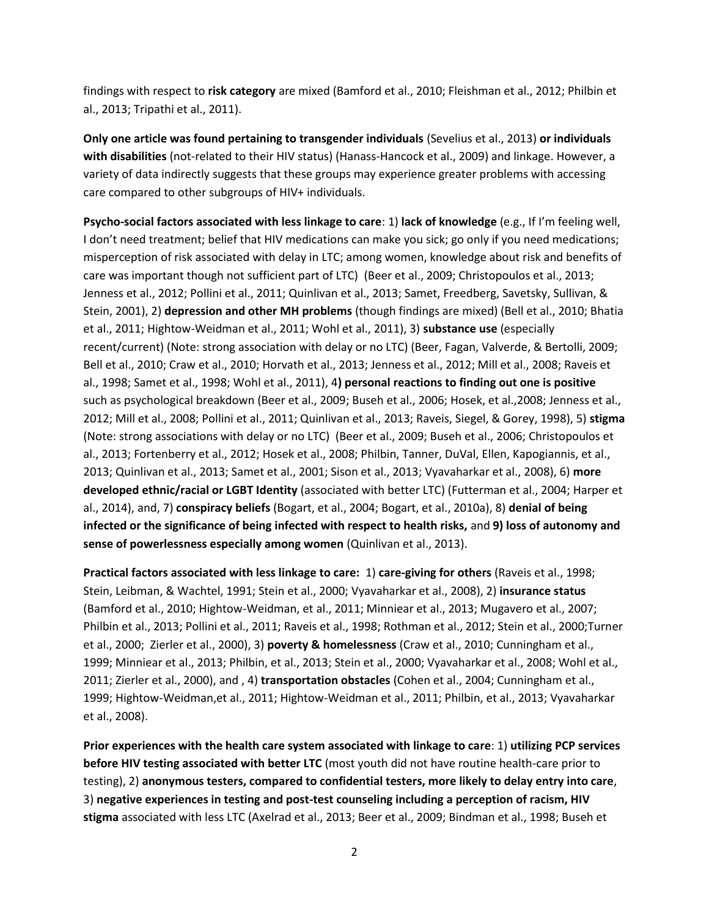findings with respect to **risk category** are mixed (Bamford et al., 2010; Fleishman et al., 2012; Philbin et al., 2013; Tripathi et al., 2011).

**Only one article was found pertaining to transgender individuals** (Sevelius et al., 2013) **or individuals with disabilities** (not-related to their HIV status) (Hanass-Hancock et al., 2009) and linkage. However, a variety of data indirectly suggests that these groups may experience greater problems with accessing care compared to other subgroups of HIV+ individuals.

**Psycho-social factors associated with less linkage to care**: 1) **lack of knowledge** (e.g., If I'm feeling well, I don't need treatment; belief that HIV medications can make you sick; go only if you need medications; misperception of risk associated with delay in LTC; among women, knowledge about risk and benefits of care was important though not sufficient part of LTC) (Beer et al., 2009; Christopoulos et al., 2013; Jenness et al., 2012; Pollini et al., 2011; Quinlivan et al., 2013; Samet, Freedberg, Savetsky, Sullivan, & Stein, 2001), 2) **depression and other MH problems** (though findings are mixed) (Bell et al., 2010; Bhatia et al., 2011; Hightow-Weidman et al., 2011; Wohl et al., 2011), 3) **substance use** (especially recent/current) (Note: strong association with delay or no LTC) (Beer, Fagan, Valverde, & Bertolli, 2009; Bell et al., 2010; Craw et al., 2010; Horvath et al., 2013; Jenness et al., 2012; Mill et al., 2008; Raveis et al., 1998; Samet et al., 1998; Wohl et al., 2011), 4**) personal reactions to finding out one is positive**  such as psychological breakdown (Beer et al., 2009; Buseh et al., 2006; Hosek, et al.,2008; Jenness et al., 2012; Mill et al., 2008; Pollini et al., 2011; Quinlivan et al., 2013; Raveis, Siegel, & Gorey, 1998), 5) **stigma**  (Note: strong associations with delay or no LTC) (Beer et al., 2009; Buseh et al., 2006; Christopoulos et al., 2013; Fortenberry et al., 2012; Hosek et al., 2008; Philbin, Tanner, DuVal, Ellen, Kapogiannis, et al., 2013; Quinlivan et al., 2013; Samet et al., 2001; Sison et al., 2013; Vyavaharkar et al., 2008), 6) **more developed ethnic/racial or LGBT Identity** (associated with better LTC) (Futterman et al., 2004; Harper et al., 2014), and, 7) **conspiracy beliefs** (Bogart, et al., 2004; Bogart, et al., 2010a), 8) **denial of being infected or the significance of being infected with respect to health risks,** and **9) loss of autonomy and sense of powerlessness especially among women** (Quinlivan et al., 2013).

**Practical factors associated with less linkage to care:** 1) **care-giving for others** (Raveis et al., 1998; Stein, Leibman, & Wachtel, 1991; Stein et al., 2000; Vyavaharkar et al., 2008), 2) **insurance status** (Bamford et al., 2010; Hightow-Weidman, et al., 2011; Minniear et al., 2013; Mugavero et al., 2007; Philbin et al., 2013; Pollini et al., 2011; Raveis et al., 1998; Rothman et al., 2012; Stein et al., 2000;Turner et al., 2000; Zierler et al., 2000), 3) **poverty & homelessness** (Craw et al., 2010; Cunningham et al., 1999; Minniear et al., 2013; Philbin, et al., 2013; Stein et al., 2000; Vyavaharkar et al., 2008; Wohl et al., 2011; Zierler et al., 2000), and , 4) **transportation obstacles** (Cohen et al., 2004; Cunningham et al., 1999; Hightow-Weidman,et al., 2011; Hightow-Weidman et al., 2011; Philbin, et al., 2013; Vyavaharkar et al., 2008).

**Prior experiences with the health care system associated with linkage to care**: 1) **utilizing PCP services before HIV testing associated with better LTC** (most youth did not have routine health-care prior to testing), 2) **anonymous testers, compared to confidential testers, more likely to delay entry into care**, 3) **negative experiences in testing and post-test counseling including a perception of racism, HIV stigma** associated with less LTC (Axelrad et al., 2013; Beer et al., 2009; Bindman et al., 1998; Buseh et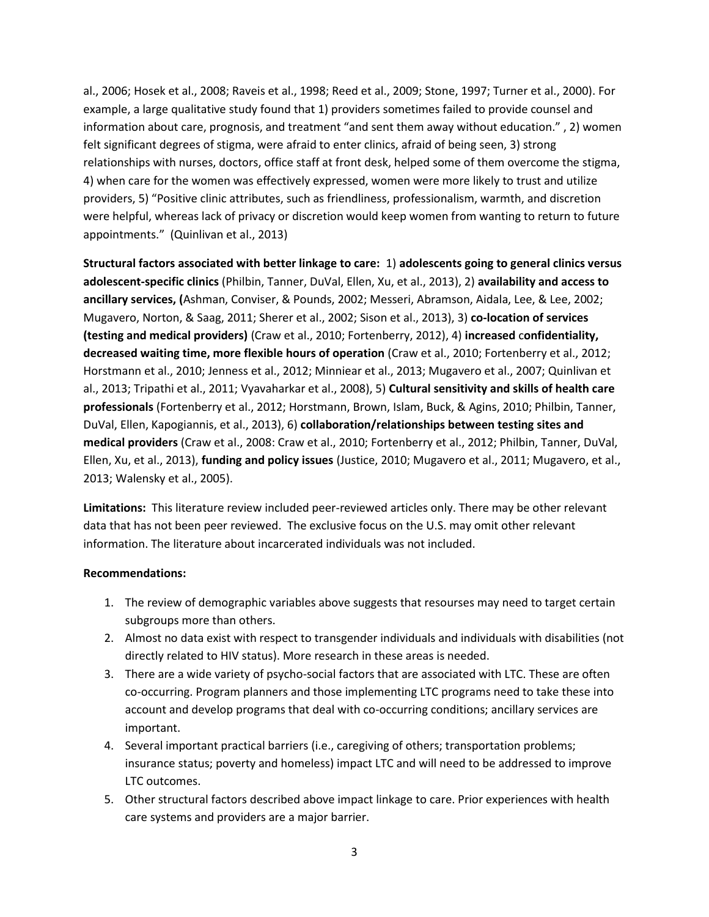al., 2006; Hosek et al., 2008; Raveis et al., 1998; Reed et al., 2009; Stone, 1997; Turner et al., 2000). For example, a large qualitative study found that 1) providers sometimes failed to provide counsel and information about care, prognosis, and treatment "and sent them away without education." , 2) women felt significant degrees of stigma, were afraid to enter clinics, afraid of being seen, 3) strong relationships with nurses, doctors, office staff at front desk, helped some of them overcome the stigma, 4) when care for the women was effectively expressed, women were more likely to trust and utilize providers, 5) "Positive clinic attributes, such as friendliness, professionalism, warmth, and discretion were helpful, whereas lack of privacy or discretion would keep women from wanting to return to future appointments." (Quinlivan et al., 2013)

**Structural factors associated with better linkage to care:** 1) **adolescents going to general clinics versus adolescent-specific clinics** (Philbin, Tanner, DuVal, Ellen, Xu, et al., 2013), 2) **availability and access to ancillary services, (**Ashman, Conviser, & Pounds, 2002; Messeri, Abramson, Aidala, Lee, & Lee, 2002; Mugavero, Norton, & Saag, 2011; Sherer et al., 2002; Sison et al., 2013), 3) **co-location of services (testing and medical providers)** (Craw et al., 2010; Fortenberry, 2012), 4) **increased** c**onfidentiality, decreased waiting time, more flexible hours of operation** (Craw et al., 2010; Fortenberry et al., 2012; Horstmann et al., 2010; Jenness et al., 2012; Minniear et al., 2013; Mugavero et al., 2007; Quinlivan et al., 2013; Tripathi et al., 2011; Vyavaharkar et al., 2008), 5) **Cultural sensitivity and skills of health care professionals** (Fortenberry et al., 2012; Horstmann, Brown, Islam, Buck, & Agins, 2010; Philbin, Tanner, DuVal, Ellen, Kapogiannis, et al., 2013), 6) **collaboration/relationships between testing sites and medical providers** (Craw et al., 2008: Craw et al., 2010; Fortenberry et al., 2012; Philbin, Tanner, DuVal, Ellen, Xu, et al., 2013), **funding and policy issues** (Justice, 2010; Mugavero et al., 2011; Mugavero, et al., 2013; Walensky et al., 2005).

**Limitations:** This literature review included peer-reviewed articles only. There may be other relevant data that has not been peer reviewed. The exclusive focus on the U.S. may omit other relevant information. The literature about incarcerated individuals was not included.

## **Recommendations:**

- 1. The review of demographic variables above suggests that resourses may need to target certain subgroups more than others.
- 2. Almost no data exist with respect to transgender individuals and individuals with disabilities (not directly related to HIV status). More research in these areas is needed.
- 3. There are a wide variety of psycho-social factors that are associated with LTC. These are often co-occurring. Program planners and those implementing LTC programs need to take these into account and develop programs that deal with co-occurring conditions; ancillary services are important.
- 4. Several important practical barriers (i.e., caregiving of others; transportation problems; insurance status; poverty and homeless) impact LTC and will need to be addressed to improve LTC outcomes.
- 5. Other structural factors described above impact linkage to care. Prior experiences with health care systems and providers are a major barrier.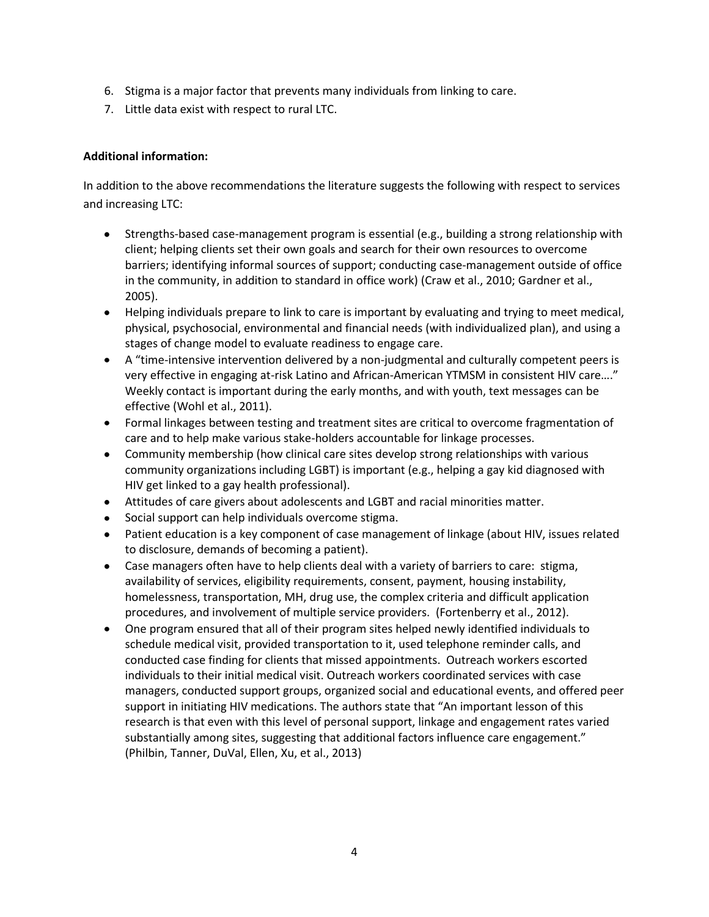- 6. Stigma is a major factor that prevents many individuals from linking to care.
- 7. Little data exist with respect to rural LTC.

# **Additional information:**

In addition to the above recommendations the literature suggests the following with respect to services and increasing LTC:

- Strengths-based case-management program is essential (e.g., building a strong relationship with client; helping clients set their own goals and search for their own resources to overcome barriers; identifying informal sources of support; conducting case-management outside of office in the community, in addition to standard in office work) (Craw et al., 2010; Gardner et al., 2005).
- Helping individuals prepare to link to care is important by evaluating and trying to meet medical, physical, psychosocial, environmental and financial needs (with individualized plan), and using a stages of change model to evaluate readiness to engage care.
- A "time-intensive intervention delivered by a non-judgmental and culturally competent peers is very effective in engaging at-risk Latino and African-American YTMSM in consistent HIV care…." Weekly contact is important during the early months, and with youth, text messages can be effective (Wohl et al., 2011).
- Formal linkages between testing and treatment sites are critical to overcome fragmentation of care and to help make various stake-holders accountable for linkage processes.
- Community membership (how clinical care sites develop strong relationships with various community organizations including LGBT) is important (e.g., helping a gay kid diagnosed with HIV get linked to a gay health professional).
- Attitudes of care givers about adolescents and LGBT and racial minorities matter.
- Social support can help individuals overcome stigma.
- Patient education is a key component of case management of linkage (about HIV, issues related to disclosure, demands of becoming a patient).
- Case managers often have to help clients deal with a variety of barriers to care: stigma, availability of services, eligibility requirements, consent, payment, housing instability, homelessness, transportation, MH, drug use, the complex criteria and difficult application procedures, and involvement of multiple service providers. (Fortenberry et al., 2012).
- One program ensured that all of their program sites helped newly identified individuals to schedule medical visit, provided transportation to it, used telephone reminder calls, and conducted case finding for clients that missed appointments. Outreach workers escorted individuals to their initial medical visit. Outreach workers coordinated services with case managers, conducted support groups, organized social and educational events, and offered peer support in initiating HIV medications. The authors state that "An important lesson of this research is that even with this level of personal support, linkage and engagement rates varied substantially among sites, suggesting that additional factors influence care engagement." (Philbin, Tanner, DuVal, Ellen, Xu, et al., 2013)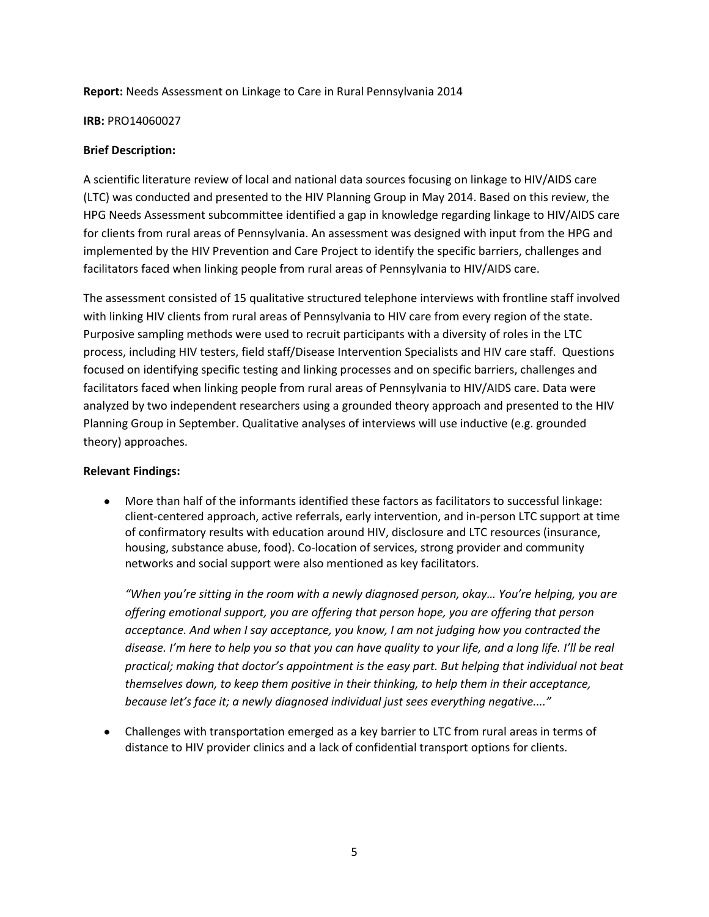#### **Report:** Needs Assessment on Linkage to Care in Rural Pennsylvania 2014

#### **IRB:** [PRO14060027](https://www.osiris.pitt.edu/osiris/Rooms/DisplayPages/LayoutInitial?Container=com.webridge.entity.Entity%5bOID%5b048CAB1F87A5C74BA3E1BFD6C29FC032%5d%5d)

## **Brief Description:**

A scientific literature review of local and national data sources focusing on linkage to HIV/AIDS care (LTC) was conducted and presented to the HIV Planning Group in May 2014. Based on this review, the HPG Needs Assessment subcommittee identified a gap in knowledge regarding linkage to HIV/AIDS care for clients from rural areas of Pennsylvania. An assessment was designed with input from the HPG and implemented by the HIV Prevention and Care Project to identify the specific barriers, challenges and facilitators faced when linking people from rural areas of Pennsylvania to HIV/AIDS care.

The assessment consisted of 15 qualitative structured telephone interviews with frontline staff involved with linking HIV clients from rural areas of Pennsylvania to HIV care from every region of the state. Purposive sampling methods were used to recruit participants with a diversity of roles in the LTC process, including HIV testers, field staff/Disease Intervention Specialists and HIV care staff. Questions focused on identifying specific testing and linking processes and on specific barriers, challenges and facilitators faced when linking people from rural areas of Pennsylvania to HIV/AIDS care. Data were analyzed by two independent researchers using a grounded theory approach and presented to the HIV Planning Group in September. Qualitative analyses of interviews will use inductive (e.g. grounded theory) approaches.

## **Relevant Findings:**

 $\bullet$ More than half of the informants identified these factors as facilitators to successful linkage: client-centered approach, active referrals, early intervention, and in-person LTC support at time of confirmatory results with education around HIV, disclosure and LTC resources (insurance, housing, substance abuse, food). Co-location of services, strong provider and community networks and social support were also mentioned as key facilitators.

*"When you're sitting in the room with a newly diagnosed person, okay… You're helping, you are offering emotional support, you are offering that person hope, you are offering that person acceptance. And when I say acceptance, you know, I am not judging how you contracted the disease. I'm here to help you so that you can have quality to your life, and a long life. I'll be real practical; making that doctor's appointment is the easy part. But helping that individual not beat themselves down, to keep them positive in their thinking, to help them in their acceptance, because let's face it; a newly diagnosed individual just sees everything negative...."*

Challenges with transportation emerged as a key barrier to LTC from rural areas in terms of distance to HIV provider clinics and a lack of confidential transport options for clients.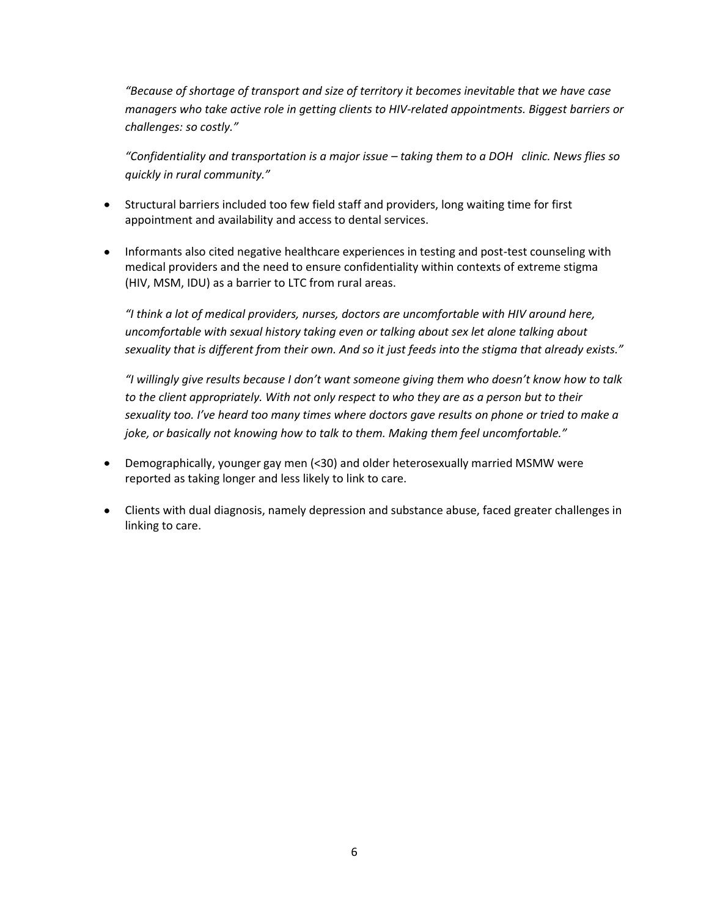*"Because of shortage of transport and size of territory it becomes inevitable that we have case managers who take active role in getting clients to HIV-related appointments. Biggest barriers or challenges: so costly."*

*"Confidentiality and transportation is a major issue – taking them to a DOH clinic. News flies so quickly in rural community."*

- Structural barriers included too few field staff and providers, long waiting time for first appointment and availability and access to dental services.
- Informants also cited negative healthcare experiences in testing and post-test counseling with medical providers and the need to ensure confidentiality within contexts of extreme stigma (HIV, MSM, IDU) as a barrier to LTC from rural areas.

*"I think a lot of medical providers, nurses, doctors are uncomfortable with HIV around here, uncomfortable with sexual history taking even or talking about sex let alone talking about sexuality that is different from their own. And so it just feeds into the stigma that already exists."*

*"I willingly give results because I don't want someone giving them who doesn't know how to talk to the client appropriately. With not only respect to who they are as a person but to their sexuality too. I've heard too many times where doctors gave results on phone or tried to make a joke, or basically not knowing how to talk to them. Making them feel uncomfortable."* 

- Demographically, younger gay men (<30) and older heterosexually married MSMW were reported as taking longer and less likely to link to care.
- Clients with dual diagnosis, namely depression and substance abuse, faced greater challenges in linking to care.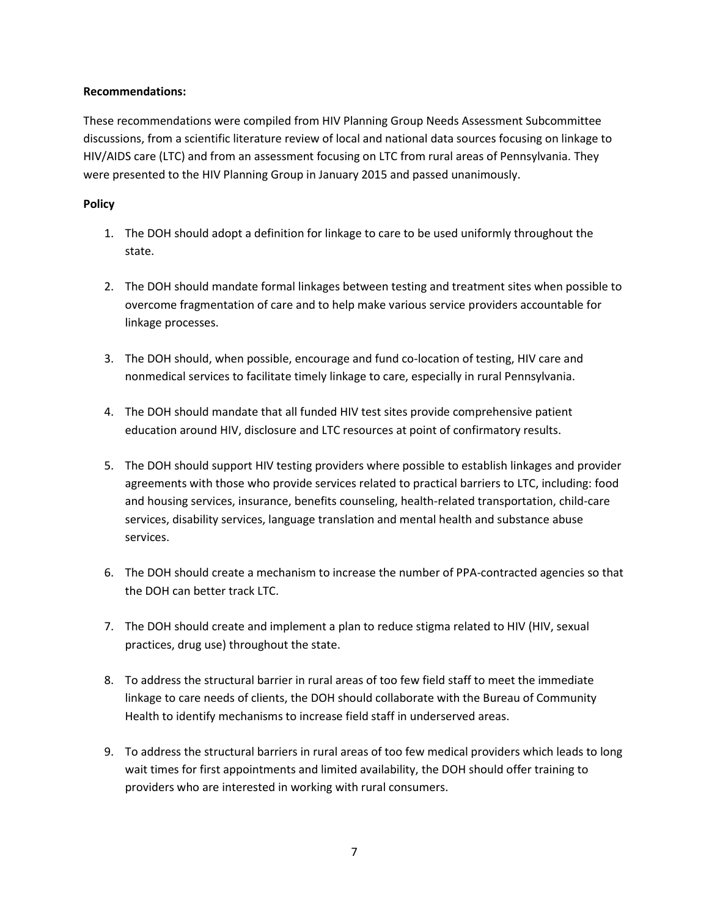# **Recommendations:**

These recommendations were compiled from HIV Planning Group Needs Assessment Subcommittee discussions, from a scientific literature review of local and national data sources focusing on linkage to HIV/AIDS care (LTC) and from an assessment focusing on LTC from rural areas of Pennsylvania. They were presented to the HIV Planning Group in January 2015 and passed unanimously.

# **Policy**

- 1. The DOH should adopt a definition for linkage to care to be used uniformly throughout the state.
- 2. The DOH should mandate formal linkages between testing and treatment sites when possible to overcome fragmentation of care and to help make various service providers accountable for linkage processes.
- 3. The DOH should, when possible, encourage and fund co-location of testing, HIV care and nonmedical services to facilitate timely linkage to care, especially in rural Pennsylvania.
- 4. The DOH should mandate that all funded HIV test sites provide comprehensive patient education around HIV, disclosure and LTC resources at point of confirmatory results.
- 5. The DOH should support HIV testing providers where possible to establish linkages and provider agreements with those who provide services related to practical barriers to LTC, including: food and housing services, insurance, benefits counseling, health-related transportation, child-care services, disability services, language translation and mental health and substance abuse services.
- 6. The DOH should create a mechanism to increase the number of PPA-contracted agencies so that the DOH can better track LTC.
- 7. The DOH should create and implement a plan to reduce stigma related to HIV (HIV, sexual practices, drug use) throughout the state.
- 8. To address the structural barrier in rural areas of too few field staff to meet the immediate linkage to care needs of clients, the DOH should collaborate with the Bureau of Community Health to identify mechanisms to increase field staff in underserved areas.
- 9. To address the structural barriers in rural areas of too few medical providers which leads to long wait times for first appointments and limited availability, the DOH should offer training to providers who are interested in working with rural consumers.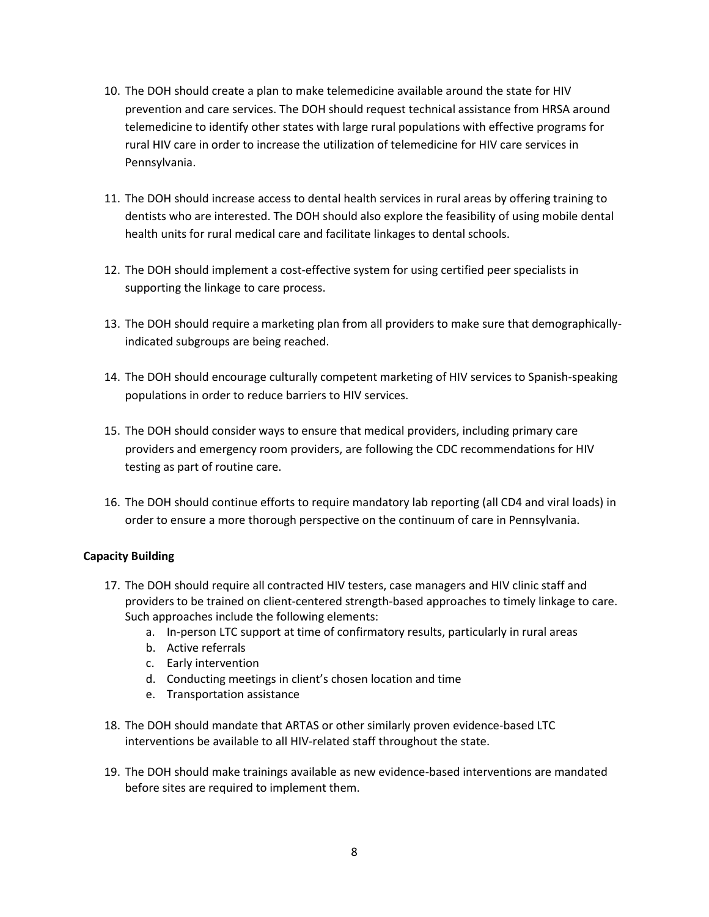- 10. The DOH should create a plan to make telemedicine available around the state for HIV prevention and care services. The DOH should request technical assistance from HRSA around telemedicine to identify other states with large rural populations with effective programs for rural HIV care in order to increase the utilization of telemedicine for HIV care services in Pennsylvania.
- 11. The DOH should increase access to dental health services in rural areas by offering training to dentists who are interested. The DOH should also explore the feasibility of using mobile dental health units for rural medical care and facilitate linkages to dental schools.
- 12. The DOH should implement a cost-effective system for using certified peer specialists in supporting the linkage to care process.
- 13. The DOH should require a marketing plan from all providers to make sure that demographicallyindicated subgroups are being reached.
- 14. The DOH should encourage culturally competent marketing of HIV services to Spanish-speaking populations in order to reduce barriers to HIV services.
- 15. The DOH should consider ways to ensure that medical providers, including primary care providers and emergency room providers, are following the CDC recommendations for HIV testing as part of routine care.
- 16. The DOH should continue efforts to require mandatory lab reporting (all CD4 and viral loads) in order to ensure a more thorough perspective on the continuum of care in Pennsylvania.

# **Capacity Building**

- 17. The DOH should require all contracted HIV testers, case managers and HIV clinic staff and providers to be trained on client-centered strength-based approaches to timely linkage to care. Such approaches include the following elements:
	- a. In-person LTC support at time of confirmatory results, particularly in rural areas
	- b. Active referrals
	- c. Early intervention
	- d. Conducting meetings in client's chosen location and time
	- e. Transportation assistance
- 18. The DOH should mandate that ARTAS or other similarly proven evidence-based LTC interventions be available to all HIV-related staff throughout the state.
- 19. The DOH should make trainings available as new evidence-based interventions are mandated before sites are required to implement them.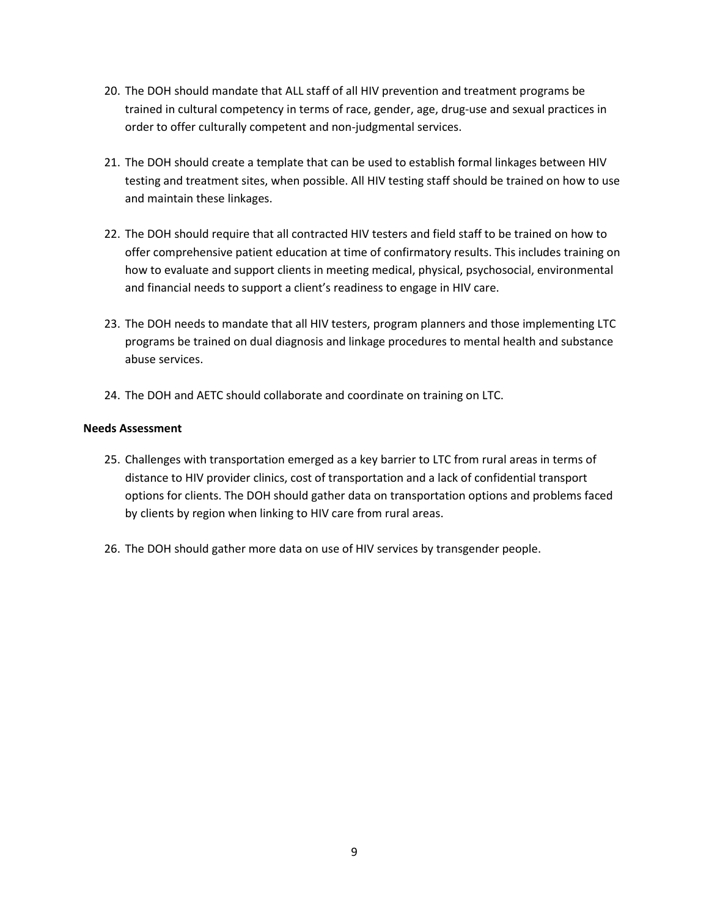- 20. The DOH should mandate that ALL staff of all HIV prevention and treatment programs be trained in cultural competency in terms of race, gender, age, drug-use and sexual practices in order to offer culturally competent and non-judgmental services.
- 21. The DOH should create a template that can be used to establish formal linkages between HIV testing and treatment sites, when possible. All HIV testing staff should be trained on how to use and maintain these linkages.
- 22. The DOH should require that all contracted HIV testers and field staff to be trained on how to offer comprehensive patient education at time of confirmatory results. This includes training on how to evaluate and support clients in meeting medical, physical, psychosocial, environmental and financial needs to support a client's readiness to engage in HIV care.
- 23. The DOH needs to mandate that all HIV testers, program planners and those implementing LTC programs be trained on dual diagnosis and linkage procedures to mental health and substance abuse services.
- 24. The DOH and AETC should collaborate and coordinate on training on LTC.

## **Needs Assessment**

- 25. Challenges with transportation emerged as a key barrier to LTC from rural areas in terms of distance to HIV provider clinics, cost of transportation and a lack of confidential transport options for clients. The DOH should gather data on transportation options and problems faced by clients by region when linking to HIV care from rural areas.
- 26. The DOH should gather more data on use of HIV services by transgender people.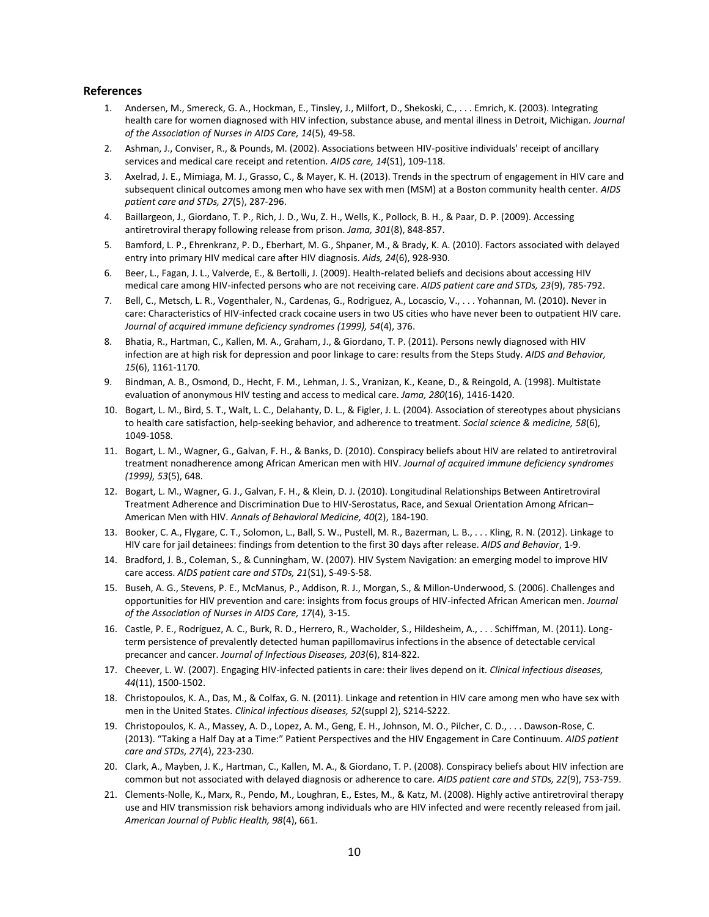#### **References**

- 1. Andersen, M., Smereck, G. A., Hockman, E., Tinsley, J., Milfort, D., Shekoski, C., . . . Emrich, K. (2003). Integrating health care for women diagnosed with HIV infection, substance abuse, and mental illness in Detroit, Michigan. *Journal of the Association of Nurses in AIDS Care, 14*(5), 49-58.
- 2. Ashman, J., Conviser, R., & Pounds, M. (2002). Associations between HIV-positive individuals' receipt of ancillary services and medical care receipt and retention. *AIDS care, 14*(S1), 109-118.
- 3. Axelrad, J. E., Mimiaga, M. J., Grasso, C., & Mayer, K. H. (2013). Trends in the spectrum of engagement in HIV care and subsequent clinical outcomes among men who have sex with men (MSM) at a Boston community health center. *AIDS patient care and STDs, 27*(5), 287-296.
- 4. Baillargeon, J., Giordano, T. P., Rich, J. D., Wu, Z. H., Wells, K., Pollock, B. H., & Paar, D. P. (2009). Accessing antiretroviral therapy following release from prison. *Jama, 301*(8), 848-857.
- 5. Bamford, L. P., Ehrenkranz, P. D., Eberhart, M. G., Shpaner, M., & Brady, K. A. (2010). Factors associated with delayed entry into primary HIV medical care after HIV diagnosis. *Aids, 24*(6), 928-930.
- 6. Beer, L., Fagan, J. L., Valverde, E., & Bertolli, J. (2009). Health-related beliefs and decisions about accessing HIV medical care among HIV-infected persons who are not receiving care. *AIDS patient care and STDs, 23*(9), 785-792.
- 7. Bell, C., Metsch, L. R., Vogenthaler, N., Cardenas, G., Rodriguez, A., Locascio, V., . . . Yohannan, M. (2010). Never in care: Characteristics of HIV-infected crack cocaine users in two US cities who have never been to outpatient HIV care. *Journal of acquired immune deficiency syndromes (1999), 54*(4), 376.
- 8. Bhatia, R., Hartman, C., Kallen, M. A., Graham, J., & Giordano, T. P. (2011). Persons newly diagnosed with HIV infection are at high risk for depression and poor linkage to care: results from the Steps Study. *AIDS and Behavior, 15*(6), 1161-1170.
- 9. Bindman, A. B., Osmond, D., Hecht, F. M., Lehman, J. S., Vranizan, K., Keane, D., & Reingold, A. (1998). Multistate evaluation of anonymous HIV testing and access to medical care. *Jama, 280*(16), 1416-1420.
- 10. Bogart, L. M., Bird, S. T., Walt, L. C., Delahanty, D. L., & Figler, J. L. (2004). Association of stereotypes about physicians to health care satisfaction, help-seeking behavior, and adherence to treatment. *Social science & medicine, 58*(6), 1049-1058.
- 11. Bogart, L. M., Wagner, G., Galvan, F. H., & Banks, D. (2010). Conspiracy beliefs about HIV are related to antiretroviral treatment nonadherence among African American men with HIV. *Journal of acquired immune deficiency syndromes (1999), 53*(5), 648.
- 12. Bogart, L. M., Wagner, G. J., Galvan, F. H., & Klein, D. J. (2010). Longitudinal Relationships Between Antiretroviral Treatment Adherence and Discrimination Due to HIV-Serostatus, Race, and Sexual Orientation Among African– American Men with HIV. *Annals of Behavioral Medicine, 40*(2), 184-190.
- 13. Booker, C. A., Flygare, C. T., Solomon, L., Ball, S. W., Pustell, M. R., Bazerman, L. B., . . . Kling, R. N. (2012). Linkage to HIV care for jail detainees: findings from detention to the first 30 days after release. *AIDS and Behavior*, 1-9.
- 14. Bradford, J. B., Coleman, S., & Cunningham, W. (2007). HIV System Navigation: an emerging model to improve HIV care access. *AIDS patient care and STDs, 21*(S1), S-49-S-58.
- 15. Buseh, A. G., Stevens, P. E., McManus, P., Addison, R. J., Morgan, S., & Millon-Underwood, S. (2006). Challenges and opportunities for HIV prevention and care: insights from focus groups of HIV-infected African American men. *Journal of the Association of Nurses in AIDS Care, 17*(4), 3-15.
- 16. Castle, P. E., Rodríguez, A. C., Burk, R. D., Herrero, R., Wacholder, S., Hildesheim, A., . . . Schiffman, M. (2011). Longterm persistence of prevalently detected human papillomavirus infections in the absence of detectable cervical precancer and cancer. *Journal of Infectious Diseases, 203*(6), 814-822.
- 17. Cheever, L. W. (2007). Engaging HIV-infected patients in care: their lives depend on it. *Clinical infectious diseases, 44*(11), 1500-1502.
- 18. Christopoulos, K. A., Das, M., & Colfax, G. N. (2011). Linkage and retention in HIV care among men who have sex with men in the United States. *Clinical infectious diseases, 52*(suppl 2), S214-S222.
- 19. Christopoulos, K. A., Massey, A. D., Lopez, A. M., Geng, E. H., Johnson, M. O., Pilcher, C. D., . . . Dawson-Rose, C. (2013). "Taking a Half Day at a Time:" Patient Perspectives and the HIV Engagement in Care Continuum. *AIDS patient care and STDs, 27*(4), 223-230.
- 20. Clark, A., Mayben, J. K., Hartman, C., Kallen, M. A., & Giordano, T. P. (2008). Conspiracy beliefs about HIV infection are common but not associated with delayed diagnosis or adherence to care. *AIDS patient care and STDs, 22*(9), 753-759.
- 21. Clements-Nolle, K., Marx, R., Pendo, M., Loughran, E., Estes, M., & Katz, M. (2008). Highly active antiretroviral therapy use and HIV transmission risk behaviors among individuals who are HIV infected and were recently released from jail. *American Journal of Public Health, 98*(4), 661.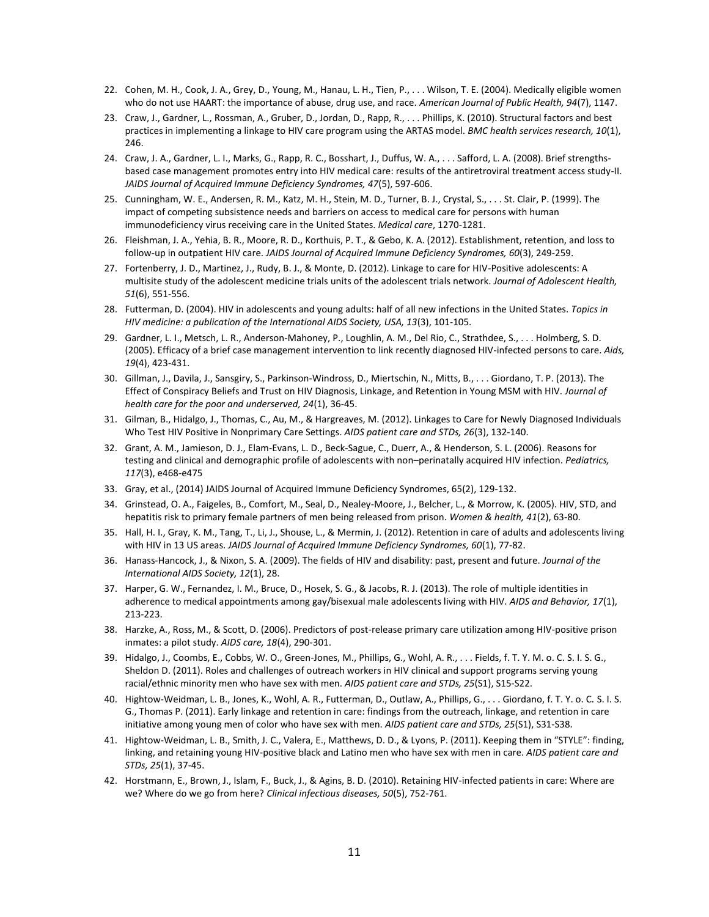- 22. Cohen, M. H., Cook, J. A., Grey, D., Young, M., Hanau, L. H., Tien, P., . . . Wilson, T. E. (2004). Medically eligible women who do not use HAART: the importance of abuse, drug use, and race. *American Journal of Public Health, 94*(7), 1147.
- 23. Craw, J., Gardner, L., Rossman, A., Gruber, D., Jordan, D., Rapp, R., . . . Phillips, K. (2010). Structural factors and best practices in implementing a linkage to HIV care program using the ARTAS model. *BMC health services research, 10*(1), 246.
- 24. Craw, J. A., Gardner, L. I., Marks, G., Rapp, R. C., Bosshart, J., Duffus, W. A., . . . Safford, L. A. (2008). Brief strengthsbased case management promotes entry into HIV medical care: results of the antiretroviral treatment access study-II. *JAIDS Journal of Acquired Immune Deficiency Syndromes, 47*(5), 597-606.
- 25. Cunningham, W. E., Andersen, R. M., Katz, M. H., Stein, M. D., Turner, B. J., Crystal, S., . . . St. Clair, P. (1999). The impact of competing subsistence needs and barriers on access to medical care for persons with human immunodeficiency virus receiving care in the United States. *Medical care*, 1270-1281.
- 26. Fleishman, J. A., Yehia, B. R., Moore, R. D., Korthuis, P. T., & Gebo, K. A. (2012). Establishment, retention, and loss to follow-up in outpatient HIV care. *JAIDS Journal of Acquired Immune Deficiency Syndromes, 60*(3), 249-259.
- 27. Fortenberry, J. D., Martinez, J., Rudy, B. J., & Monte, D. (2012). Linkage to care for HIV-Positive adolescents: A multisite study of the adolescent medicine trials units of the adolescent trials network. *Journal of Adolescent Health, 51*(6), 551-556.
- 28. Futterman, D. (2004). HIV in adolescents and young adults: half of all new infections in the United States. *Topics in HIV medicine: a publication of the International AIDS Society, USA, 13*(3), 101-105.
- 29. Gardner, L. I., Metsch, L. R., Anderson-Mahoney, P., Loughlin, A. M., Del Rio, C., Strathdee, S., . . . Holmberg, S. D. (2005). Efficacy of a brief case management intervention to link recently diagnosed HIV-infected persons to care. *Aids, 19*(4), 423-431.
- 30. Gillman, J., Davila, J., Sansgiry, S., Parkinson-Windross, D., Miertschin, N., Mitts, B., . . . Giordano, T. P. (2013). The Effect of Conspiracy Beliefs and Trust on HIV Diagnosis, Linkage, and Retention in Young MSM with HIV. *Journal of health care for the poor and underserved, 24*(1), 36-45.
- 31. Gilman, B., Hidalgo, J., Thomas, C., Au, M., & Hargreaves, M. (2012). Linkages to Care for Newly Diagnosed Individuals Who Test HIV Positive in Nonprimary Care Settings. *AIDS patient care and STDs, 26*(3), 132-140.
- 32. Grant, A. M., Jamieson, D. J., Elam-Evans, L. D., Beck-Sague, C., Duerr, A., & Henderson, S. L. (2006). Reasons for testing and clinical and demographic profile of adolescents with non–perinatally acquired HIV infection. *Pediatrics, 117*(3), e468-e475
- 33. Gray, et al., (2014) JAIDS Journal of Acquired Immune Deficiency Syndromes, 65(2), 129-132.
- 34. Grinstead, O. A., Faigeles, B., Comfort, M., Seal, D., Nealey-Moore, J., Belcher, L., & Morrow, K. (2005). HIV, STD, and hepatitis risk to primary female partners of men being released from prison. *Women & health, 41*(2), 63-80.
- 35. Hall, H. I., Gray, K. M., Tang, T., Li, J., Shouse, L., & Mermin, J. (2012). Retention in care of adults and adolescents living with HIV in 13 US areas. *JAIDS Journal of Acquired Immune Deficiency Syndromes, 60*(1), 77-82.
- 36. Hanass-Hancock, J., & Nixon, S. A. (2009). The fields of HIV and disability: past, present and future. *Journal of the International AIDS Society, 12*(1), 28.
- 37. Harper, G. W., Fernandez, I. M., Bruce, D., Hosek, S. G., & Jacobs, R. J. (2013). The role of multiple identities in adherence to medical appointments among gay/bisexual male adolescents living with HIV. *AIDS and Behavior, 17*(1), 213-223.
- 38. Harzke, A., Ross, M., & Scott, D. (2006). Predictors of post-release primary care utilization among HIV-positive prison inmates: a pilot study. *AIDS care, 18*(4), 290-301.
- 39. Hidalgo, J., Coombs, E., Cobbs, W. O., Green-Jones, M., Phillips, G., Wohl, A. R., . . . Fields, f. T. Y. M. o. C. S. I. S. G., Sheldon D. (2011). Roles and challenges of outreach workers in HIV clinical and support programs serving young racial/ethnic minority men who have sex with men. *AIDS patient care and STDs, 25*(S1), S15-S22.
- 40. Hightow-Weidman, L. B., Jones, K., Wohl, A. R., Futterman, D., Outlaw, A., Phillips, G., . . . Giordano, f. T. Y. o. C. S. I. S. G., Thomas P. (2011). Early linkage and retention in care: findings from the outreach, linkage, and retention in care initiative among young men of color who have sex with men. *AIDS patient care and STDs, 25*(S1), S31-S38.
- 41. Hightow-Weidman, L. B., Smith, J. C., Valera, E., Matthews, D. D., & Lyons, P. (2011). Keeping them in "STYLE": finding, linking, and retaining young HIV-positive black and Latino men who have sex with men in care. *AIDS patient care and STDs, 25*(1), 37-45.
- 42. Horstmann, E., Brown, J., Islam, F., Buck, J., & Agins, B. D. (2010). Retaining HIV-infected patients in care: Where are we? Where do we go from here? *Clinical infectious diseases, 50*(5), 752-761.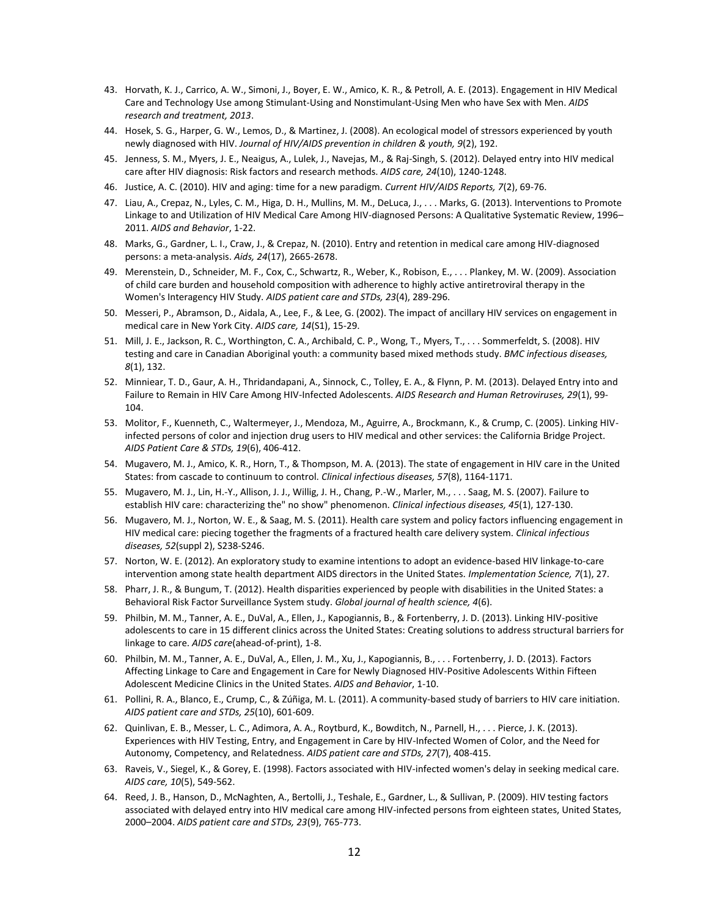- 43. Horvath, K. J., Carrico, A. W., Simoni, J., Boyer, E. W., Amico, K. R., & Petroll, A. E. (2013). Engagement in HIV Medical Care and Technology Use among Stimulant-Using and Nonstimulant-Using Men who have Sex with Men. *AIDS research and treatment, 2013*.
- 44. Hosek, S. G., Harper, G. W., Lemos, D., & Martinez, J. (2008). An ecological model of stressors experienced by youth newly diagnosed with HIV. *Journal of HIV/AIDS prevention in children & youth, 9*(2), 192.
- 45. Jenness, S. M., Myers, J. E., Neaigus, A., Lulek, J., Navejas, M., & Raj-Singh, S. (2012). Delayed entry into HIV medical care after HIV diagnosis: Risk factors and research methods. *AIDS care, 24*(10), 1240-1248.
- 46. Justice, A. C. (2010). HIV and aging: time for a new paradigm. *Current HIV/AIDS Reports, 7*(2), 69-76.
- 47. Liau, A., Crepaz, N., Lyles, C. M., Higa, D. H., Mullins, M. M., DeLuca, J., . . . Marks, G. (2013). Interventions to Promote Linkage to and Utilization of HIV Medical Care Among HIV-diagnosed Persons: A Qualitative Systematic Review, 1996– 2011. *AIDS and Behavior*, 1-22.
- 48. Marks, G., Gardner, L. I., Craw, J., & Crepaz, N. (2010). Entry and retention in medical care among HIV-diagnosed persons: a meta-analysis. *Aids, 24*(17), 2665-2678.
- 49. Merenstein, D., Schneider, M. F., Cox, C., Schwartz, R., Weber, K., Robison, E., . . . Plankey, M. W. (2009). Association of child care burden and household composition with adherence to highly active antiretroviral therapy in the Women's Interagency HIV Study. *AIDS patient care and STDs, 23*(4), 289-296.
- 50. Messeri, P., Abramson, D., Aidala, A., Lee, F., & Lee, G. (2002). The impact of ancillary HIV services on engagement in medical care in New York City. *AIDS care, 14*(S1), 15-29.
- 51. Mill, J. E., Jackson, R. C., Worthington, C. A., Archibald, C. P., Wong, T., Myers, T., . . . Sommerfeldt, S. (2008). HIV testing and care in Canadian Aboriginal youth: a community based mixed methods study. *BMC infectious diseases, 8*(1), 132.
- 52. Minniear, T. D., Gaur, A. H., Thridandapani, A., Sinnock, C., Tolley, E. A., & Flynn, P. M. (2013). Delayed Entry into and Failure to Remain in HIV Care Among HIV-Infected Adolescents. *AIDS Research and Human Retroviruses, 29*(1), 99- 104.
- 53. Molitor, F., Kuenneth, C., Waltermeyer, J., Mendoza, M., Aguirre, A., Brockmann, K., & Crump, C. (2005). Linking HIVinfected persons of color and injection drug users to HIV medical and other services: the California Bridge Project. *AIDS Patient Care & STDs, 19*(6), 406-412.
- 54. Mugavero, M. J., Amico, K. R., Horn, T., & Thompson, M. A. (2013). The state of engagement in HIV care in the United States: from cascade to continuum to control. *Clinical infectious diseases, 57*(8), 1164-1171.
- 55. Mugavero, M. J., Lin, H.-Y., Allison, J. J., Willig, J. H., Chang, P.-W., Marler, M., . . . Saag, M. S. (2007). Failure to establish HIV care: characterizing the" no show" phenomenon. *Clinical infectious diseases, 45*(1), 127-130.
- 56. Mugavero, M. J., Norton, W. E., & Saag, M. S. (2011). Health care system and policy factors influencing engagement in HIV medical care: piecing together the fragments of a fractured health care delivery system. *Clinical infectious diseases, 52*(suppl 2), S238-S246.
- 57. Norton, W. E. (2012). An exploratory study to examine intentions to adopt an evidence-based HIV linkage-to-care intervention among state health department AIDS directors in the United States. *Implementation Science, 7*(1), 27.
- 58. Pharr, J. R., & Bungum, T. (2012). Health disparities experienced by people with disabilities in the United States: a Behavioral Risk Factor Surveillance System study. *Global journal of health science, 4*(6).
- 59. Philbin, M. M., Tanner, A. E., DuVal, A., Ellen, J., Kapogiannis, B., & Fortenberry, J. D. (2013). Linking HIV-positive adolescents to care in 15 different clinics across the United States: Creating solutions to address structural barriers for linkage to care. *AIDS care*(ahead-of-print), 1-8.
- 60. Philbin, M. M., Tanner, A. E., DuVal, A., Ellen, J. M., Xu, J., Kapogiannis, B., . . . Fortenberry, J. D. (2013). Factors Affecting Linkage to Care and Engagement in Care for Newly Diagnosed HIV-Positive Adolescents Within Fifteen Adolescent Medicine Clinics in the United States. *AIDS and Behavior*, 1-10.
- 61. Pollini, R. A., Blanco, E., Crump, C., & Zúñiga, M. L. (2011). A community-based study of barriers to HIV care initiation. *AIDS patient care and STDs, 25*(10), 601-609.
- 62. Quinlivan, E. B., Messer, L. C., Adimora, A. A., Roytburd, K., Bowditch, N., Parnell, H., . . . Pierce, J. K. (2013). Experiences with HIV Testing, Entry, and Engagement in Care by HIV-Infected Women of Color, and the Need for Autonomy, Competency, and Relatedness. *AIDS patient care and STDs, 27*(7), 408-415.
- 63. Raveis, V., Siegel, K., & Gorey, E. (1998). Factors associated with HIV-infected women's delay in seeking medical care. *AIDS care, 10*(5), 549-562.
- 64. Reed, J. B., Hanson, D., McNaghten, A., Bertolli, J., Teshale, E., Gardner, L., & Sullivan, P. (2009). HIV testing factors associated with delayed entry into HIV medical care among HIV-infected persons from eighteen states, United States, 2000–2004. *AIDS patient care and STDs, 23*(9), 765-773.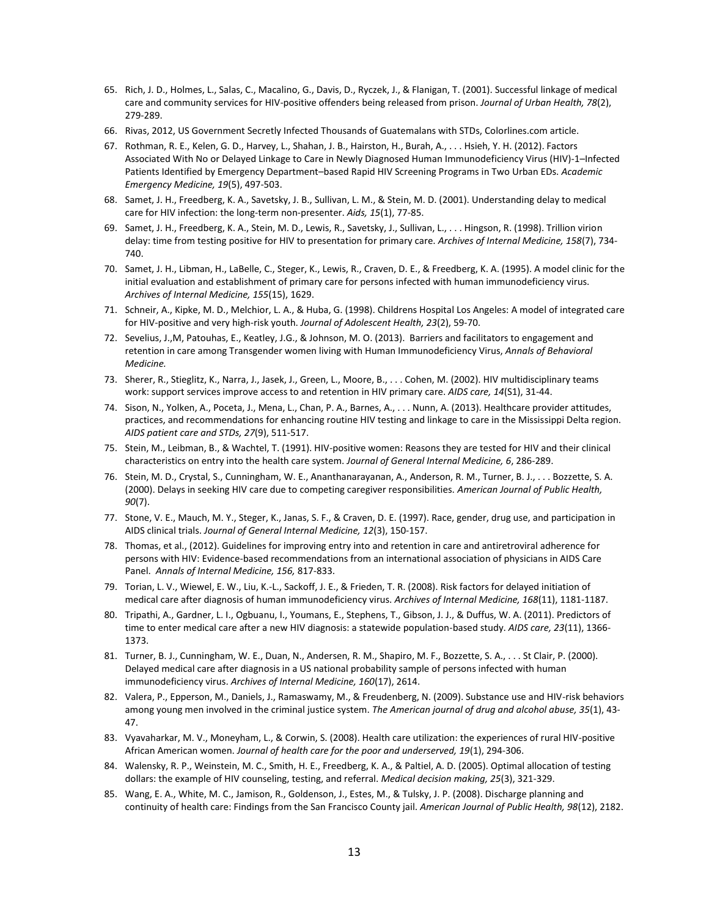- 65. Rich, J. D., Holmes, L., Salas, C., Macalino, G., Davis, D., Ryczek, J., & Flanigan, T. (2001). Successful linkage of medical care and community services for HIV-positive offenders being released from prison. *Journal of Urban Health, 78*(2), 279-289.
- 66. Rivas, 2012, US Government Secretly Infected Thousands of Guatemalans with STDs, Colorlines.com article.
- 67. Rothman, R. E., Kelen, G. D., Harvey, L., Shahan, J. B., Hairston, H., Burah, A., . . . Hsieh, Y. H. (2012). Factors Associated With No or Delayed Linkage to Care in Newly Diagnosed Human Immunodeficiency Virus (HIV)‐1–Infected Patients Identified by Emergency Department–based Rapid HIV Screening Programs in Two Urban EDs. *Academic Emergency Medicine, 19*(5), 497-503.
- 68. Samet, J. H., Freedberg, K. A., Savetsky, J. B., Sullivan, L. M., & Stein, M. D. (2001). Understanding delay to medical care for HIV infection: the long-term non-presenter. *Aids, 15*(1), 77-85.
- 69. Samet, J. H., Freedberg, K. A., Stein, M. D., Lewis, R., Savetsky, J., Sullivan, L., . . . Hingson, R. (1998). Trillion virion delay: time from testing positive for HIV to presentation for primary care. *Archives of Internal Medicine, 158*(7), 734- 740.
- 70. Samet, J. H., Libman, H., LaBelle, C., Steger, K., Lewis, R., Craven, D. E., & Freedberg, K. A. (1995). A model clinic for the initial evaluation and establishment of primary care for persons infected with human immunodeficiency virus. *Archives of Internal Medicine, 155*(15), 1629.
- 71. Schneir, A., Kipke, M. D., Melchior, L. A., & Huba, G. (1998). Childrens Hospital Los Angeles: A model of integrated care for HIV-positive and very high-risk youth. *Journal of Adolescent Health, 23*(2), 59-70.
- 72. Sevelius, J.,M, Patouhas, E., Keatley, J.G., & Johnson, M. O. (2013). Barriers and facilitators to engagement and retention in care among Transgender women living with Human Immunodeficiency Virus, *Annals of Behavioral Medicine.*
- 73. Sherer, R., Stieglitz, K., Narra, J., Jasek, J., Green, L., Moore, B., . . . Cohen, M. (2002). HIV multidisciplinary teams work: support services improve access to and retention in HIV primary care. *AIDS care, 14*(S1), 31-44.
- 74. Sison, N., Yolken, A., Poceta, J., Mena, L., Chan, P. A., Barnes, A., . . . Nunn, A. (2013). Healthcare provider attitudes, practices, and recommendations for enhancing routine HIV testing and linkage to care in the Mississippi Delta region. *AIDS patient care and STDs, 27*(9), 511-517.
- 75. Stein, M., Leibman, B., & Wachtel, T. (1991). HIV-positive women: Reasons they are tested for HIV and their clinical characteristics on entry into the health care system. *Journal of General Internal Medicine, 6*, 286-289.
- 76. Stein, M. D., Crystal, S., Cunningham, W. E., Ananthanarayanan, A., Anderson, R. M., Turner, B. J., . . . Bozzette, S. A. (2000). Delays in seeking HIV care due to competing caregiver responsibilities. *American Journal of Public Health, 90*(7).
- 77. Stone, V. E., Mauch, M. Y., Steger, K., Janas, S. F., & Craven, D. E. (1997). Race, gender, drug use, and participation in AIDS clinical trials. *Journal of General Internal Medicine, 12*(3), 150-157.
- 78. Thomas, et al., (2012). Guidelines for improving entry into and retention in care and antiretroviral adherence for persons with HIV: Evidence-based recommendations from an international association of physicians in AIDS Care Panel. *Annals of Internal Medicine, 156,* 817-833.
- 79. Torian, L. V., Wiewel, E. W., Liu, K.-L., Sackoff, J. E., & Frieden, T. R. (2008). Risk factors for delayed initiation of medical care after diagnosis of human immunodeficiency virus. *Archives of Internal Medicine, 168*(11), 1181-1187.
- 80. Tripathi, A., Gardner, L. I., Ogbuanu, I., Youmans, E., Stephens, T., Gibson, J. J., & Duffus, W. A. (2011). Predictors of time to enter medical care after a new HIV diagnosis: a statewide population-based study. *AIDS care, 23*(11), 1366- 1373.
- 81. Turner, B. J., Cunningham, W. E., Duan, N., Andersen, R. M., Shapiro, M. F., Bozzette, S. A., . . . St Clair, P. (2000). Delayed medical care after diagnosis in a US national probability sample of persons infected with human immunodeficiency virus. *Archives of Internal Medicine, 160*(17), 2614.
- 82. Valera, P., Epperson, M., Daniels, J., Ramaswamy, M., & Freudenberg, N. (2009). Substance use and HIV-risk behaviors among young men involved in the criminal justice system. *The American journal of drug and alcohol abuse, 35*(1), 43- 47.
- 83. Vyavaharkar, M. V., Moneyham, L., & Corwin, S. (2008). Health care utilization: the experiences of rural HIV-positive African American women. *Journal of health care for the poor and underserved, 19*(1), 294-306.
- 84. Walensky, R. P., Weinstein, M. C., Smith, H. E., Freedberg, K. A., & Paltiel, A. D. (2005). Optimal allocation of testing dollars: the example of HIV counseling, testing, and referral. *Medical decision making, 25*(3), 321-329.
- 85. Wang, E. A., White, M. C., Jamison, R., Goldenson, J., Estes, M., & Tulsky, J. P. (2008). Discharge planning and continuity of health care: Findings from the San Francisco County jail. *American Journal of Public Health, 98*(12), 2182.